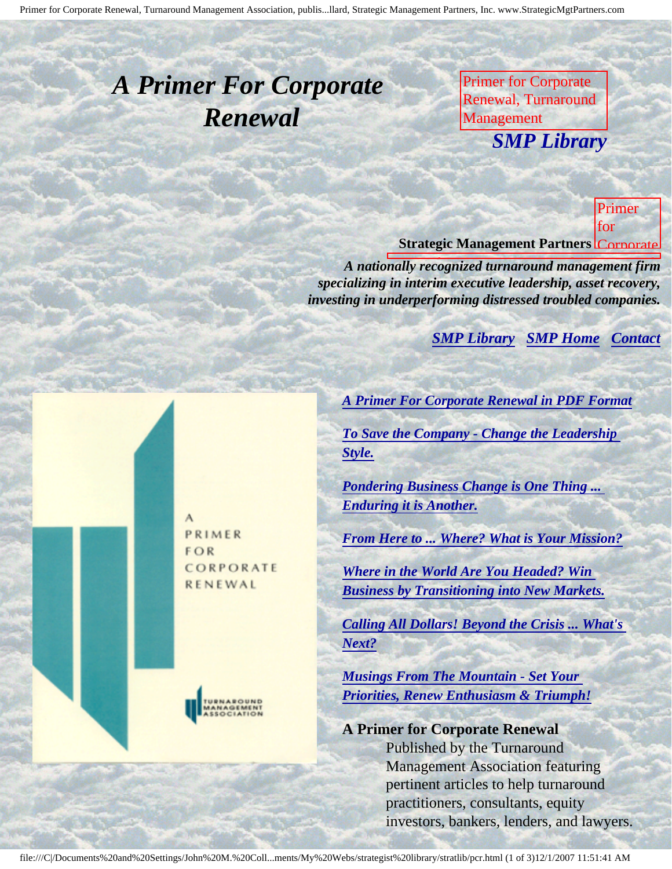<span id="page-0-0"></span>Primer for Corporate Renewal, Turnaround Management Association, publis...llard, Strategic Management Partners, Inc. www.StrategicMgtPartners.com

## <span id="page-0-1"></span>*A Primer For Corporate Renewal*

Primer for Corporate Renewal, Turnaround Management **SMP Librar** M. Collard, Strategic *SMP Library*

Newsletter of Corporate Renewal, Corporate **Strategic Management Partners Corporate** for

Primer

**Association** 

M.

Collaboration

Management Partners,

Inc., published by

Management Renewal, Primer for Corporate Renewal, Turnaround Management Association, by John M. *A nationally recognized turnaround management firm* specializing in interim executive leadership, asset recovery, *investing in underperforming distressed troubled companies.* 

**[SMP Library](http://members.aol.com/stratlib3/libindx.html) [SMP Home](http://members.aol.com/strategist/home.html#TOP) [Contact](#page-1-0)** 

Inc., published by Newsletter of Corporate of Corporate of Corporate of Corporate of Corporate of Corporate of Corporate of Corporate of Corporate of Corporate of Corporate of Corporate of Corporate of Corporate of Corpora

PRIMER **FOR** CORPORATE RENEWAL



*[A Primer For Corporate Renewal in PDF Format](http://members.aol.com/stratlib/pcr.pdf)*  $\frac{m}{2}$ 

Association

*[To Save the Company - Change the Leadership](http://members.aol.com/stratlib/pcrcls.html)* Inc., published *[Style.](http://members.aol.com/stratlib/pcrcls.html)*

*[Pondering Business Change is One Thing ...](http://members.aol.com/stratlib/pcrpbc.html)* Newsletter of *[Enduring it is Another.](http://members.aol.com/stratlib/pcrpbc.html)*

*[From Here to ... Where? What is Your Mission?](http://members.aol.com/stratlib/pcrwim.html)* 

Renewal, Turnaround S. *[Where in the World Are You Headed? Win](http://members.aol.com/stratlib/pcrwiw.html)  [Business by Transitioning into New Markets.](http://members.aol.com/stratlib/pcrwiw.html)*

Association *[Calling All Dollars! Beyond the Crisis ... What's](http://members.aol.com/stratlib/pcrcad.html)  [Next?](http://members.aol.com/stratlib/pcrcad.html)*

*[Musings From The Mountain - Set Your](http://members.aol.com/stratlib/pcrmfm.html)  [Priorities, Renew Enthusiasm & Triumph!](http://members.aol.com/stratlib/pcrmfm.html)*

**A Primer for Corporate Renewal** Published by the Turnaround Management Association featuring pertinent articles to help turnaround practitioners, consultants, equity investors, bankers, lenders, and lawyers.

file:///C|/Documents%20and%20Settings/John%20M.%20Coll...ments/My%20Webs/strategist%20library/stratlib/pcr.html (1 of 3)12/1/2007 11:51:41 AM

í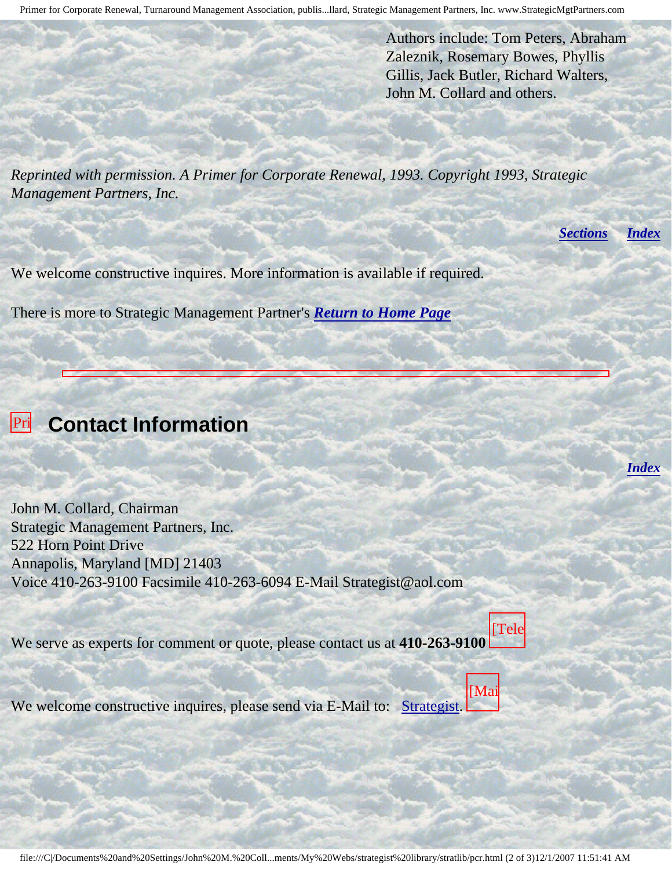Authors include: Tom Peters, Abraham Zaleznik, Rosemary Bowes, Phyllis Gillis, Jack Butler, Richard Walters, John M. Collard and others.

*Reprinted with permission. A Primer for Corporate Renewal, 1993. Copyright 1993, Strategic Management Partners, Inc.*

*[Sections](#page-0-0) [Index](#page-0-1)*

*[Index](#page-0-1)*

We welcome constructive inquires. More information is available if required.

There is more to Strategic Management Partner's *[Return to Home Page](http://members.aol.com/strategist/home.html#TOP)*

<span id="page-1-0"></span>

Corporate Renewal,

Strategic

Partners,

Newsletter

Corporate Renewal, **Northern Pro** 

Inc.,

Turnaround and the Contract of John M. Collard, Chairman Strategic Management Partners, Inc. 522 Horn Point Drive Annapolis, Maryland [MD] 21403 Voice 410-263-9100 Facsimile 410-263-6094 E-Mail Strategist@aol.com

We serve as experts for comment or quote, please contact us at **410-263-9100** [Tele

[Mai

 $W_0$  welcom  $\ddot{\phantom{0}}$ We welcome constructive inquires, please send via E-Mail to: [Strategist.](mailto:Strategist@aol.com (library pcrcls))